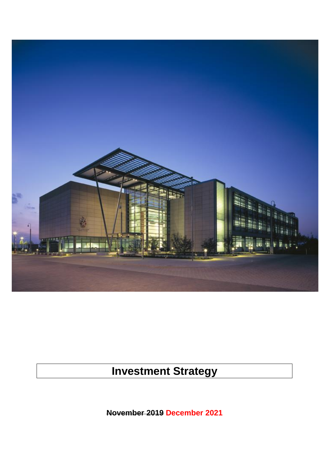

# **Investment Strategy**

**November 2019 December 2021**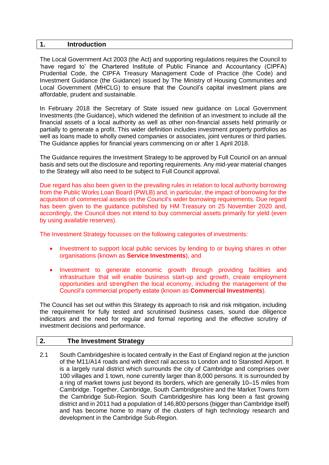#### **1. Introduction**

The Local Government Act 2003 (the Act) and supporting regulations requires the Council to 'have regard to' the Chartered Institute of Public Finance and Accountancy (CIPFA) Prudential Code, the CIPFA Treasury Management Code of Practice (the Code) and Investment Guidance (the Guidance) issued by The Ministry of Housing Communities and Local Government (MHCLG) to ensure that the Council's capital investment plans are affordable, prudent and sustainable.

In February 2018 the Secretary of State issued new guidance on Local Government Investments (the Guidance), which widened the definition of an investment to include all the financial assets of a local authority as well as other non-financial assets held primarily or partially to generate a profit. This wider definition includes investment property portfolios as well as loans made to wholly owned companies or associates, joint ventures or third parties. The Guidance applies for financial years commencing on or after 1 April 2018.

The Guidance requires the Investment Strategy to be approved by Full Council on an annual basis and sets out the disclosure and reporting requirements. Any mid-year material changes to the Strategy will also need to be subject to Full Council approval.

Due regard has also been given to the prevailing rules in relation to local authority borrowing from the Public Works Loan Board (PWLB) and, in particular, the impact of borrowing for the acquisition of commercial assets on the Council's wider borrowing requirements. Due regard has been given to the guidance published by HM Treasury on 25 November 2020 and, accordingly, the Council does not intend to buy commercial assets primarily for yield (even by using available reserves).

The Investment Strategy focusses on the following categories of investments:

- Investment to support local public services by lending to or buying shares in other organisations (known as **Service Investments**), and
- Investment to generate economic growth through providing facilities and infrastructure that will enable business start-up and growth, create employment opportunities and strengthen the local economy, including the management of the Council's commercial property estate (known as **Commercial Investments**).

The Council has set out within this Strategy its approach to risk and risk mitigation, including the requirement for fully tested and scrutinised business cases, sound due diligence indicators and the need for regular and formal reporting and the effective scrutiny of investment decisions and performance.

### **2. The Investment Strategy**

2.1 South Cambridgeshire is located centrally in the East of England region at the junction of the M11/A14 roads and with direct rail access to London and to Stansted Airport. It is a largely rural district which surrounds the city of Cambridge and comprises over 100 villages and 1 town, none currently larger than 8,000 persons. It is surrounded by a ring of market towns just beyond its borders, which are generally 10–15 miles from Cambridge. Together, Cambridge, South Cambridgeshire and the Market Towns form the Cambridge Sub-Region. South Cambridgeshire has long been a fast growing district and in 2011 had a population of 146,800 persons (bigger than Cambridge itself) and has become home to many of the clusters of high technology research and development in the Cambridge Sub-Region.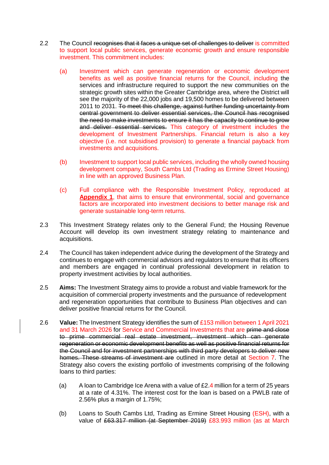- 2.2 The Council recognises that it faces a unique set of challenges to deliver is committed to support local public services, generate economic growth and ensure responsible investment. This commitment includes:
	- (a) Investment which can generate regeneration or economic development benefits as well as positive financial returns for the Council, including the services and infrastructure required to support the new communities on the strategic growth sites within the Greater Cambridge area, where the District will see the majority of the 22,000 jobs and 19,500 homes to be delivered between 2011 to 2031. To meet this challenge, against further funding uncertainty from central government to deliver essential services, the Council has recognised the need to make investments to ensure it has the capacity to continue to grow and deliver essential services. This category of investment includes the development of Investment Partnerships. Financial return is also a key objective (i.e. not subsidised provision) to generate a financial payback from investments and acquisitions.
	- (b) Investment to support local public services, including the wholly owned housing development company, South Cambs Ltd (Trading as Ermine Street Housing) in line with an approved Business Plan.
	- (c) Full compliance with the Responsible Investment Policy, reproduced at **Appendix 1**, that aims to ensure that environmental, social and governance factors are incorporated into investment decisions to better manage risk and generate sustainable long-term returns.
- 2.3 This Investment Strategy relates only to the General Fund; the Housing Revenue Account will develop its own investment strategy relating to maintenance and acquisitions.
- 2.4 The Council has taken independent advice during the development of the Strategy and continues to engage with commercial advisors and regulators to ensure that its officers and members are engaged in continual professional development in relation to property investment activities by local authorities.
- 2.5 **Aims:** The Investment Strategy aims to provide a robust and viable framework for the acquisition of commercial property investments and the pursuance of redevelopment and regeneration opportunities that contribute to Business Plan objectives and can deliver positive financial returns for the Council.
- 2.6 **Value:** The Investment Strategy identifies the sum of £153 million between 1 April 2021 and 31 March 2026 for Service and Commercial Investments that are prime and close to prime commercial real estate investment, investment which can generate regeneration or economic development benefits as well as positive financial returns for the Council and for investment partnerships with third party developers to deliver new homes. These streams of investment are outlined in more detail at Section 7. The Strategy also covers the existing portfolio of investments comprising of the following loans to third parties:
	- (a) A loan to Cambridge Ice Arena with a value of £2.4 million for a term of 25 years at a rate of 4.31%. The interest cost for the loan is based on a PWLB rate of 2.56% plus a margin of 1.75%;
	- (b) Loans to South Cambs Ltd, Trading as Ermine Street Housing (ESH), with a value of £63.317 million (at September 2019) £83.993 million (as at March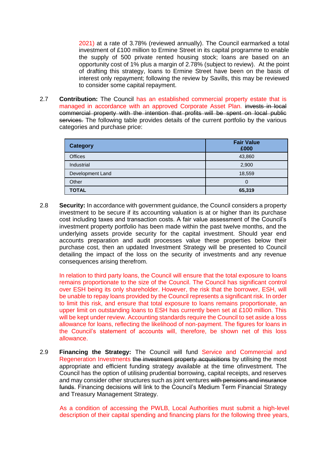2021) at a rate of 3.78% (reviewed annually). The Council earmarked a total investment of £100 million to Ermine Street in its capital programme to enable the supply of 500 private rented housing stock; loans are based on an opportunity cost of 1% plus a margin of 2.78% (subject to review). At the point of drafting this strategy, loans to Ermine Street have been on the basis of interest only repayment; following the review by Savills, this may be reviewed to consider some capital repayment.

2.7 **Contribution:** The Council has an established commercial property estate that is managed in accordance with an approved Corporate Asset Plan. invests in local commercial property with the intention that profits will be spent on local public services. The following table provides details of the current portfolio by the various categories and purchase price:

| <b>Category</b>  | <b>Fair Value</b><br>£000 |
|------------------|---------------------------|
| <b>Offices</b>   | 43,860                    |
| Industrial       | 2,900                     |
| Development Land | 18,559                    |
| Other            | 0                         |
| <b>TOTAL</b>     | 65,319                    |

2.8 **Security:** In accordance with government guidance, the Council considers a property investment to be secure if its accounting valuation is at or higher than its purchase cost including taxes and transaction costs. A fair value assessment of the Council's investment property portfolio has been made within the past twelve months, and the underlying assets provide security for the capital investment. Should year end accounts preparation and audit processes value these properties below their purchase cost, then an updated Investment Strategy will be presented to Council detailing the impact of the loss on the security of investments and any revenue consequences arising therefrom.

In relation to third party loans, the Council will ensure that the total exposure to loans remains proportionate to the size of the Council. The Council has significant control over ESH being its only shareholder. However, the risk that the borrower, ESH, will be unable to repay loans provided by the Council represents a significant risk. In order to limit this risk, and ensure that total exposure to loans remains proportionate, an upper limit on outstanding loans to ESH has currently been set at £100 million. This will be kept under review. Accounting standards require the Council to set aside a loss allowance for loans, reflecting the likelihood of non-payment. The figures for loans in the Council's statement of accounts will, therefore, be shown net of this loss allowance.

2.9 **Financing the Strategy:** The Council will fund Service and Commercial and Regeneration Investments the investment property acquisitions by utilising the most appropriate and efficient funding strategy available at the time ofinvestment. The Council has the option of utilising prudential borrowing, capital receipts, and reserves and may consider other structures such as joint ventures with pensions and insurance funds. Financing decisions will link to the Council's Medium Term Financial Strategy and Treasury Management Strategy.

As a condition of accessing the PWLB, Local Authorities must submit a high-level description of their capital spending and financing plans for the following three years,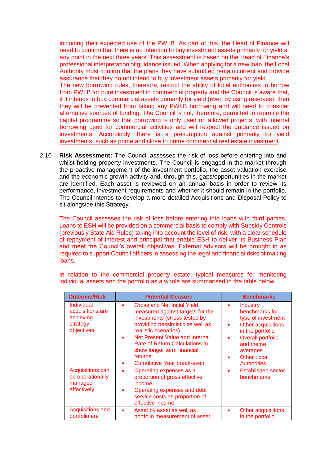including their expected use of the PWLB. As part of this, the Head of Finance will need to confirm that there is no intention to buy investment assets primarily for yield at any point in the next three years. This assessment is based on the Head of Finance's professional interpretation of guidance issued. When applying for a new loan, the Local Authority must confirm that the plans they have submitted remain current and provide assurance that they do not intend to buy investment assets primarily for yield.

The new borrowing rules, therefore, restrict the ability of local authorities to borrow from PWLB for pure investment in commercial property and the Council is aware that, if it intends to buy commercial assets primarily for yield (even by using reserves), then they will be prevented from taking any PWLB borrowing and will need to consider alternative sources of funding. The Council is not, therefore, permitted to reprofile the capital programme so that borrowing is only used on allowed projects, with internal borrowing used for commercial activities and will respect the guidance issued on investments. Accordingly, there is a presumption against primarily for yield investments, such as prime and close to prime commercial real estate investment.

2.10 **Risk Assessment:** The Council assesses the risk of loss before entering into and whilst holding property investments. The Council is engaged in the market through the proactive management of the investment portfolio, the asset valuation exercise and the economic growth activity and, through this, gaps/opportunities in the market are identified. Each asset is reviewed on an annual basis in order to review its performance, investment requirements and whether it should remain in the portfolio. The Council intends to develop a more detailed Acquisitions and Disposal Policy to sit alongside this Strategy.

The Council assesses the risk of loss before entering into loans with third parties. Loans to ESH will be provided on a commercial basis to comply with Subsidy Controls (previously State Aid Rules) taking into account the level of risk, with a clear schedule of repayment of interest and principal that enable ESH to deliver its Business Plan and meet the Council's overall objectives. External advisors will be brought in as required to support Council officers in assessing the legal and financial risks of making loans.

| <b>Outcome/Risk</b>                                                   | <b>Potential Measure</b>                                                                                                                                                                                                                                                                                                                        | <b>Benchmarks</b>                                                                                                                                                                                     |
|-----------------------------------------------------------------------|-------------------------------------------------------------------------------------------------------------------------------------------------------------------------------------------------------------------------------------------------------------------------------------------------------------------------------------------------|-------------------------------------------------------------------------------------------------------------------------------------------------------------------------------------------------------|
| Individual<br>acquisitions are<br>achieving<br>strategy<br>objectives | <b>Gross and Net Initial Yield</b><br>$\bullet$<br>measured against targets for the<br>investments (stress tested by<br>providing pessimistic as well as<br>realistic scenarios)<br>Net Present Value and Internal<br>$\bullet$<br>Rate of Return Calculations to<br>show longer term financial<br>returns<br><b>Cumulative Year break-even</b> | Industry<br>٠<br>benchmarks for<br>type of investment<br>Other acquisitions<br>in the portfolio<br><b>Overall portfolio</b><br>٠<br>and theme<br>averages<br><b>Other Local</b><br><b>Authorities</b> |
| <b>Acquisitions can</b><br>be operationally<br>managed<br>effectively | Operating expenses as a<br>$\bullet$<br>proportion of gross effective<br>income<br>Operating expenses and debt<br>٠<br>service costs as proportion of<br>effective income                                                                                                                                                                       | <b>Established sector</b><br>benchmarks                                                                                                                                                               |
| <b>Acquisitions and</b><br>portfolio are                              | Asset by asset as well as<br>portfolio measurement of asset                                                                                                                                                                                                                                                                                     | Other acquisitions<br>in the portfolio                                                                                                                                                                |

In relation to the commercial property estate, typical measures for monitoring individual assets and the portfolio as a whole are summarised in the table below: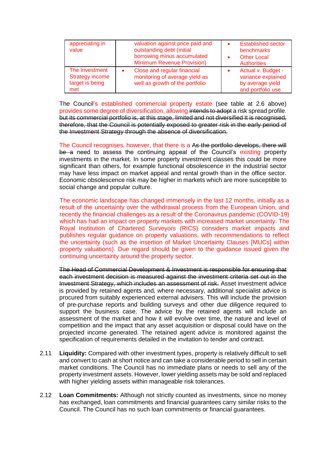| appreciating in<br>value                                           | valuation against price paid and<br>outstanding debt (initial<br>borrowing minus accumulated<br>Minimum Revenue Provision) | <b>Established sector</b><br>benchmarks<br><b>Other Local</b><br><b>Authorities</b> |
|--------------------------------------------------------------------|----------------------------------------------------------------------------------------------------------------------------|-------------------------------------------------------------------------------------|
| The Investment<br><b>Strategy income</b><br>target is being<br>met | Close and regular financial<br>monitoring of average yield as<br>well as growth of the portfolio                           | Actual v. Budget -<br>variance explained<br>by average yield<br>and portfolio use   |

The Council's established commercial property estate (see table at 2.6 above) provides some degree of diversification, allowing intends to adopt a risk spread profile. but its commercial portfolio is, at this stage, limited and not diversified It is recognised, therefore, that the Council is potentially exposed to greater risk in the early period of the Investment Strategy through the absence of diversification.

The Council recognises, however, that there is a As the portfolio develops, there will be a need to assess the continuing appeal of the Council's existing property investments in the market. In some property investment classes this could be more significant than others, for example functional obsolescence in the industrial sector may have less impact on market appeal and rental growth than in the office sector. Economic obsolescence risk may be higher in markets which are more susceptible to social change and popular culture.

The economic landscape has changed immensely in the last 12 months, initially as a result of the uncertainty over the withdrawal process from the European Union, and recently the financial challenges as a result of the Coronavirus pandemic (COVID-19) which has had an impact on property markets with increased market uncertainty. The Royal Institution of Chartered Surveyors (RICS) considers market impacts and publishes regular guidance on property valuations, with recommendations to reflect the uncertainty (such as the insertion of Market Uncertainty Clauses [MUCs] within property valuations). Due regard should be given to the guidance issued given the continuing uncertainty around the property sector.

The Head of Commercial Development & Investment is responsible for ensuring that each investment decision is measured against the investment criteria set out in the Investment Strategy, which includes an assessment of risk. Asset investment advice is provided by retained agents and, where necessary, additional specialist advice is procured from suitably experienced external advisers. This will include the provision of pre-purchase reports and building surveys and other due diligence required to support the business case. The advice by the retained agents will include an assessment of the market and how it will evolve over time, the nature and level of competition and the impact that any asset acquisition or disposal could have on the projected income generated. The retained agent advice is monitored against the specification of requirements detailed in the invitation to tender and contract.

- 2.11 **Liquidity:** Compared with other investment types, property is relatively difficult to sell and convert to cash at short notice and can take a considerable period to sell in certain market conditions. The Council has no immediate plans or needs to sell any of the property investment assets. However, lower yielding assets may be sold and replaced with higher yielding assets within manageable risk tolerances.
- 2.12 **Loan Commitments:** Although not strictly counted as investments, since no money has exchanged, loan commitments and financial guarantees carry similar risks to the Council. The Council has no such loan commitments or financial guarantees.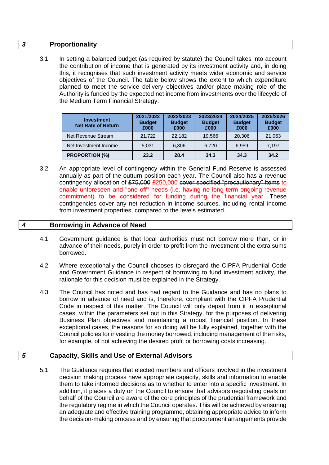### *3* **Proportionality**

3.1 In setting a balanced budget (as required by statute) the Council takes into account the contribution of income that is generated by its investment activity and, in doing this, it recognises that such investment activity meets wider economic and service objectives of the Council. The table below shows the extent to which expenditure planned to meet the service delivery objectives and/or place making role of the Authority is funded by the expected net income from investments over the lifecycle of the Medium Term Financial Strategy.

| <b>Investment</b><br><b>Net Rate of Return</b> | 2021/2022<br><b>Budget</b><br>£000 | 2022/2023<br><b>Budget</b><br>£000 | 2023/2024<br><b>Budget</b><br>£000 | 2024/2025<br><b>Budget</b><br>£000 | 2025/2026<br><b>Budget</b><br>£000 |
|------------------------------------------------|------------------------------------|------------------------------------|------------------------------------|------------------------------------|------------------------------------|
| Net Revenue Stream                             | 21,722                             | 22.182                             | 19.566                             | 20,306                             | 21,063                             |
| Net Investment Income                          | 5.031                              | 6.306                              | 6.720                              | 6.959                              | 7,197                              |
| <b>PROPORTION (%)</b>                          | 23.2                               | 28.4                               | 34.3                               | 34.3                               | 34.2                               |

3.2 An appropriate level of contingency within the General Fund Reserve is assessed annually as part of the outturn position each year. The Council also has a revenue contingency allocation of £75,000 £250,000 cover specified "precautionary" items to enable unforeseen and "one off" needs (i.e. having no long term ongoing revenue commitment) to be considered for funding during the financial year. These contingencies cover any net reduction in income sources, including rental income from investment properties, compared to the levels estimated.

### *4* **Borrowing in Advance of Need**

- 4.1 Government guidance is that local authorities must not borrow more than, or in advance of their needs, purely in order to profit from the investment of the extra sums borrowed.
- 4.2 Where exceptionally the Council chooses to disregard the CIPFA Prudential Code and Government Guidance in respect of borrowing to fund investment activity, the rationale for this decision must be explained in the Strategy.
- 4.3 The Council has noted and has had regard to the Guidance and has no plans to borrow in advance of need and is, therefore, compliant with the CIPFA Prudential Code in respect of this matter. The Council will only depart from it in exceptional cases, within the parameters set out in this Strategy, for the purposes of delivering Business Plan objectives and maintaining a robust financial position. In these exceptional cases, the reasons for so doing will be fully explained, together with the Council policies for investing the money borrowed, including management of the risks, for example, of not achieving the desired profit or borrowing costs increasing.

### *5* **Capacity, Skills and Use of External Advisors**

5.1 The Guidance requires that elected members and officers involved in the investment decision making process have appropriate capacity, skills and information to enable them to take informed decisions as to whether to enter into a specific investment. In addition, it places a duty on the Council to ensure that advisors negotiating deals on behalf of the Council are aware of the core principles of the prudential framework and the regulatory regime in which the Council operates. This will be achieved by ensuring an adequate and effective training programme, obtaining appropriate advice to inform the decision-making process and by ensuring that procurement arrangements provide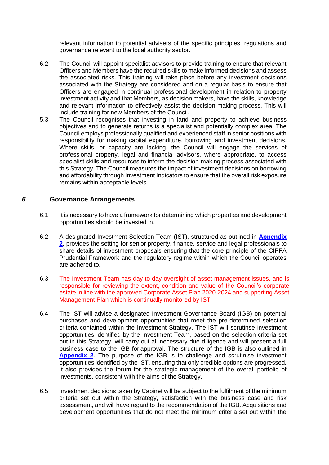relevant information to potential advisers of the specific principles, regulations and governance relevant to the local authority sector.

- 6.2 The Council will appoint specialist advisors to provide training to ensure that relevant Officers and Members have the required skills to make informed decisions and assess the associated risks. This training will take place before any investment decisions associated with the Strategy are considered and on a regular basis to ensure that Officers are engaged in continual professional development in relation to property investment activity and that Members, as decision makers, have the skills, knowledge and relevant information to effectively assist the decision-making process. This will include training for new Members of the Council.
- 5.3 The Council recognises that investing in land and property to achieve business objectives and to generate returns is a specialist and potentially complex area. The Council employs professionally qualified and experienced staff in senior positions with responsibility for making capital expenditure, borrowing and investment decisions. Where skills, or capacity are lacking, the Council will engage the services of professional property, legal and financial advisors, where appropriate, to access specialist skills and resources to inform the decision-making process associated with this Strategy. The Council measures the impact of investment decisions on borrowing and affordability through Investment Indicators to ensure that the overall risk exposure remains within acceptable levels.

#### *6* **Governance Arrangements**

- 6.1 It is necessary to have a framework for determining which properties and development opportunities should be invested in.
- 6.2 A designated Investment Selection Team (IST), structured as outlined in **Appendix 2,** provides the setting for senior property, finance, service and legal professionals to share details of investment proposals ensuring that the core principle of the CIPFA Prudential Framework and the regulatory regime within which the Council operates are adhered to.
- 6.3 The Investment Team has day to day oversight of asset management issues, and is responsible for reviewing the extent, condition and value of the Council's corporate estate in line with the approved Corporate Asset Plan 2020-2024 and supporting Asset Management Plan which is continually monitored by IST.
- 6.4 The IST will advise a designated Investment Governance Board (IGB) on potential purchases and development opportunities that meet the pre-determined selection criteria contained within the Investment Strategy. The IST will scrutinse investment opportunities identified by the Investment Team, based on the selection criteria set out in this Strategy, will carry out all necessary due diligence and will present a full business case to the IGB for approval. The structure of the IGB is also outlined in **Appendix 2**. The purpose of the IGB is to challenge and scrutinise investment opportunities identified by the IST, ensuring that only credible options are progressed. It also provides the forum for the strategic management of the overall portfolio of investments, consistent with the aims of the Strategy.
- 6.5 Investment decisions taken by Cabinet will be subject to the fulfilment of the minimum criteria set out within the Strategy, satisfaction with the business case and risk assessment, and will have regard to the recommendation of the IGB. Acquisitions and development opportunities that do not meet the minimum criteria set out within the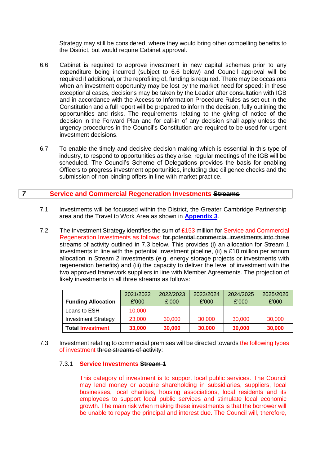Strategy may still be considered, where they would bring other compelling benefits to the District, but would require Cabinet approval.

- 6.6 Cabinet is required to approve investment in new capital schemes prior to any expenditure being incurred (subject to 6.6 below) and Council approval will be required if additional, or the reprofiling of, funding is required. There may be occasions when an investment opportunity may be lost by the market need for speed; in these exceptional cases, decisions may be taken by the Leader after consultation with IGB and in accordance with the Access to Information Procedure Rules as set out in the Constitution and a full report will be prepared to inform the decision, fully outlining the opportunities and risks. The requirements relating to the giving of notice of the decision in the Forward Plan and for call-in of any decision shall apply unless the urgency procedures in the Council's Constitution are required to be used for urgent investment decisions.
- 6.7 To enable the timely and decisive decision making which is essential in this type of industry, to respond to opportunities as they arise, regular meetings of the IGB will be scheduled. The Council's Scheme of Delegations provides the basis for enabling Officers to progress investment opportunities, including due diligence checks and the submission of non-binding offers in line with market practice.

### *7* **Service and Commercial Regeneration Investments Streams**

- 7.1 Investments will be focussed within the District, the Greater Cambridge Partnership area and the Travel to Work Area as shown in **Appendix 3**.
- 7.2 The Investment Strategy identifies the sum of  $£153$  million for Service and Commercial Regeneration Investments as follows: for potential commercial investments into three streams of activity outlined in 7.3 below. This provides (i) an allocation for Stream 1 investments in line with the potential investment pipeline, (ii) a £10 million per annum allocation in Stream 2 investments (e.g. energy storage projects or investments with regeneration benefits) and (iii) the capacity to deliver the level of investment with the two approved framework suppliers in line with Member Agreements. The projection of likely investments in all three streams as follows:

| <b>Funding Allocation</b>  | 2021/2022<br>£'000 | 2022/2023<br>£'000 | 2023/2024<br>£'000 | 2024/2025<br>£'000 | 2025/2026<br>£'000 |
|----------------------------|--------------------|--------------------|--------------------|--------------------|--------------------|
| Loans to ESH               | 10,000             |                    |                    |                    | -                  |
| <b>Investment Strategy</b> | 23,000             | 30,000             | 30,000             | 30,000             | 30,000             |
| <b>Total Investment</b>    | 33,000             | 30,000             | 30,000             | 30,000             | 30,000             |

7.3 Investment relating to commercial premises will be directed towards the following types of investment three streams of activity:

#### 7.3.1 **Service Investments Stream 1**

This category of investment is to support local public services. The Council may lend money or acquire shareholding in subsidiaries, suppliers, local businesses, local charities, housing associations, local residents and its employees to support local public services and stimulate local economic growth. The main risk when making these investments is that the borrower will be unable to repay the principal and interest due. The Council will, therefore,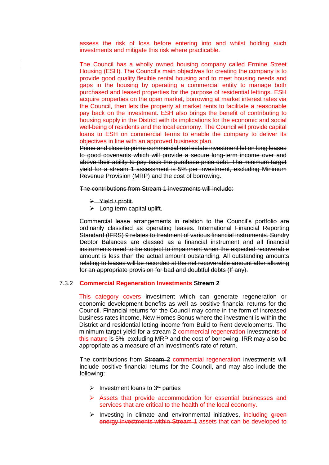assess the risk of loss before entering into and whilst holding such investments and mitigate this risk where practicable.

The Council has a wholly owned housing company called Ermine Street Housing (ESH). The Council's main objectives for creating the company is to provide good quality flexible rental housing and to meet housing needs and gaps in the housing by operating a commercial entity to manage both purchased and leased properties for the purpose of residential lettings. ESH acquire properties on the open market, borrowing at market interest rates via the Council, then lets the property at market rents to facilitate a reasonable pay back on the investment. ESH also brings the benefit of contributing to housing supply in the District with its implications for the economic and social well-being of residents and the local economy. The Council will provide capital loans to ESH on commercial terms to enable the company to deliver its objectives in line with an approved business plan.

Prime and close to prime commercial real estate investment let on long leases to good covenants which will provide a secure long-term income over and above their ability to pay back the purchase price debt. The minimum target yield for a stream 1 assessment is 5% per investment, excluding Minimum Revenue Provision (MRP) and the cost of borrowing.

The contributions from Stream 1 investments will include:

- $\rightarrow$  -Yield / profit.
- > Long term capital uplift.

Commercial lease arrangements in relation to the Council's portfolio are ordinarily classified as operating leases. International Financial Reporting Standard (IFRS) 9 relates to treatment of various financial instruments. Sundry Debtor Balances are classed as a financial instrument and all financial instruments need to be subject to impairment when the expected recoverable amount is less than the actual amount outstanding. All outstanding amounts relating to leases will be recorded at the net recoverable amount after allowing for an appropriate provision for bad and doubtful debts (If any).

#### 7.3.2 **Commercial Regeneration Investments Stream 2**

This category covers investment which can generate regeneration or economic development benefits as well as positive financial returns for the Council. Financial returns for the Council may come in the form of increased business rates income, New Homes Bonus where the investment is within the District and residential letting income from Build to Rent developments. The minimum target yield for a stream 2 commercial regeneration investments of this nature is 5%, excluding MRP and the cost of borrowing. IRR may also be appropriate as a measure of an investment's rate of return.

The contributions from Stream 2 commercial regeneration investments will include positive financial returns for the Council, and may also include the following:

 $\rightarrow$  Investment loans to 3<sup>rd</sup> parties

- Assets that provide accommodation for essential businesses and services that are critical to the health of the local economy.
- $\triangleright$  Investing in climate and environmental initiatives, including green energy investments within Stream 1 assets that can be developed to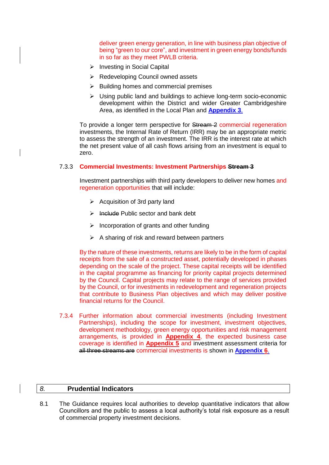deliver green energy generation, in line with business plan objective of being "green to our core", and investment in green energy bonds/funds in so far as they meet PWLB criteria.

- ▶ Investing in Social Capital
- $\triangleright$  Redeveloping Council owned assets
- $\triangleright$  Building homes and commercial premises
- $\triangleright$  Using public land and buildings to achieve long-term socio-economic development within the District and wider Greater Cambridgeshire Area, as identified in the Local Plan and **Appendix 3**.

To provide a longer term perspective for Stream 2 commercial regeneration investments, the Internal Rate of Return (IRR) may be an appropriate metric to assess the strength of an investment. The IRR is the interest rate at which the net present value of all cash flows arising from an investment is equal to zero.

### 7.3.3 **Commercial Investments: Investment Partnerships Stream 3**

Investment partnerships with third party developers to deliver new homes and regeneration opportunities that will include:

- $\triangleright$  Acquisition of 3rd party land
- $\triangleright$  Include Public sector and bank debt
- $\triangleright$  Incorporation of grants and other funding
- $\triangleright$  A sharing of risk and reward between partners

By the nature of these investments, returns are likely to be in the form of capital receipts from the sale of a constructed asset, potentially developed in phases depending on the scale of the project. These capital receipts will be identified in the capital programme as financing for priority capital projects determined by the Council. Capital projects may relate to the range of services provided by the Council, or for investments in redevelopment and regeneration projects that contribute to Business Plan objectives and which may deliver positive financial returns for the Council.

7.3.4 Further information about commercial investments (including Investment Partnerships), including the scope for investment, investment objectives, development methodology, green energy opportunities and risk management arrangements, is provided in **Appendix 4**, the expected business case coverage is identified in **Appendix 5** and investment assessment criteria for all three streams are commercial investments is shown in **Appendix 6**.

### *8.* **Prudential Indicators**

8.1 The Guidance requires local authorities to develop quantitative indicators that allow Councillors and the public to assess a local authority's total risk exposure as a result of commercial property investment decisions.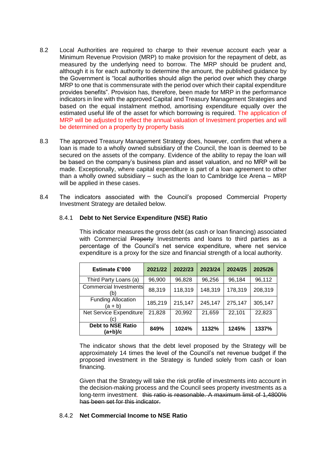- 8.2 Local Authorities are required to charge to their revenue account each year a Minimum Revenue Provision (MRP) to make provision for the repayment of debt, as measured by the underlying need to borrow. The MRP should be prudent and, although it is for each authority to determine the amount, the published guidance by the Government is "local authorities should align the period over which they charge MRP to one that is commensurate with the period over which their capital expenditure provides benefits". Provision has, therefore, been made for MRP in the performance indicators in line with the approved Capital and Treasury Management Strategies and based on the equal instalment method, amortising expenditure equally over the estimated useful life of the asset for which borrowing is required. The application of MRP will be adjusted to reflect the annual valuation of Investment properties and will be determined on a property by property basis
- 8.3 The approved Treasury Management Strategy does, however, confirm that where a loan is made to a wholly owned subsidiary of the Council, the loan is deemed to be secured on the assets of the company. Evidence of the ability to repay the loan will be based on the company's business plan and asset valuation, and no MRP will be made. Exceptionally, where capital expenditure is part of a loan agreement to other than a wholly owned subsidiary – such as the loan to Cambridge Ice Arena – MRP will be applied in these cases.
- 8.4 The indicators associated with the Council's proposed Commercial Property Investment Strategy are detailed below.

#### 8.4.1 **Debt to Net Service Expenditure (NSE) Ratio**

This indicator measures the gross debt (as cash or loan financing) associated with Commercial Property Investments and loans to third parties as a percentage of the Council's net service expenditure, where net service expenditure is a proxy for the size and financial strength of a local authority.

| Estimate £'000                       | 2021/22 | 2022/23 | 2023/24 | 2024/25 | 2025/26 |
|--------------------------------------|---------|---------|---------|---------|---------|
| Third Party Loans (a)                | 96,900  | 96,828  | 96,256  | 96,184  | 96,112  |
| Commercial Investments<br>(b)        | 88,319  | 118,319 | 148,319 | 178,319 | 208,319 |
| <b>Funding Allocation</b><br>(a + b) | 185,219 | 215,147 | 245,147 | 275,147 | 305,147 |
| Net Service Expenditure<br>(C)       | 21,828  | 20,992  | 21,659  | 22,101  | 22,823  |
| <b>Debt to NSE Ratio</b><br>(a+b)/c  | 849%    | 1024%   | 1132%   | 1245%   | 1337%   |

The indicator shows that the debt level proposed by the Strategy will be approximately 14 times the level of the Council's net revenue budget if the proposed investment in the Strategy is funded solely from cash or loan financing.

Given that the Strategy will take the risk profile of investments into account in the decision-making process and the Council sees property investments as a long-term investment. this ratio is reasonable. A maximum limit of 1,4800% has been set for this indicator.

#### 8.4.2 **Net Commercial Income to NSE Ratio**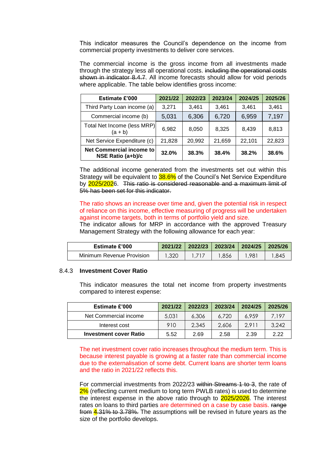This indicator measures the Council's dependence on the income from commercial property investments to deliver core services.

The commercial income is the gross income from all investments made through the strategy less all operational costs. including the operational costs shown in indicator 8.4.7. All income forecasts should allow for void periods where applicable. The table below identifies gross income:

| Estimate £'000                                | 2021/22 | 2022/23 | 2023/24 | 2024/25 | 2025/26 |
|-----------------------------------------------|---------|---------|---------|---------|---------|
| Third Party Loan income (a)                   | 3,271   | 3,461   | 3,461   | 3,461   | 3,461   |
| Commercial income (b)                         | 5,031   | 6,306   | 6,720   | 6,959   | 7,197   |
| Total Net Income (less MRP)<br>$(a + b)$      | 6,982   | 8,050   | 8,325   | 8,439   | 8,813   |
| Net Service Expenditure (c)                   | 21,828  | 20.992  | 21,659  | 22,101  | 22,823  |
| Net Commercial income to<br>NSE Ratio (a+b)/c | 32.0%   | 38.3%   | 38.4%   | 38.2%   | 38.6%   |

The additional income generated from the investments set out within this Strategy will be equivalent to 38.6% of the Council's Net Service Expenditure by 2025/2026. This ratio is considered reasonable and a maximum limit of 5% has been set for this indicator.

#### The ratio shows an increase over time and, given the potential risk in respect of reliance on this income, effective measuring of progress will be undertaken against income targets, both in terms of portfolio yield and size.

The indicator allows for MRP in accordance with the approved Treasury Management Strategy with the following allowance for each year:

| Estimate £'000            |      | 2021/22 2022/23 | $2023/24$ 2024/25 |     | 2025/26 |
|---------------------------|------|-----------------|-------------------|-----|---------|
| Minimum Revenue Provision | ,320 |                 | .856              | .98 | .845    |

#### 8.4.3 **Investment Cover Ratio**

This indicator measures the total net income from property investments compared to interest expense:

| <b>Estimate £'000</b>         | 2021/22 | 2022/23 | 2023/24 | 2024/25 | 2025/26 |
|-------------------------------|---------|---------|---------|---------|---------|
| Net Commercial income         | 5.031   | 6,306   | 6.720   | 6.959   | 7.197   |
| Interest cost                 | 910     | 2.345   | 2,606   | 2.911   | 3,242   |
| <b>Investment cover Ratio</b> | 5.52    | 2.69    | 2.58    | 2.39    | 222     |

The net investment cover ratio increases throughout the medium term. This is because interest payable is growing at a faster rate than commercial income due to the externalisation of some debt. Current loans are shorter term loans and the ratio in 2021/22 reflects this.

For commercial investments from 2022/23 within Streams 1 to 3, the rate of 2% (reflecting current medium to long term PWLB rates) is used to determine the interest expense in the above ratio through to 2025/2026. The interest rates on loans to third parties are determined on a case by case basis. range from 4.31% to 3.78%. The assumptions will be revised in future years as the size of the portfolio develops.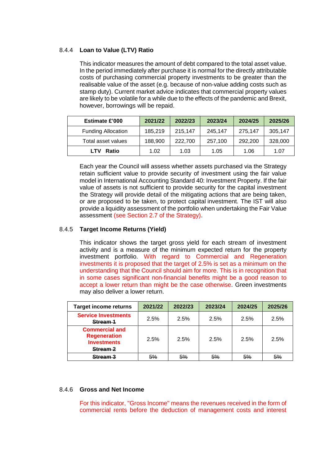### 8.4.4 **Loan to Value (LTV) Ratio**

This indicator measures the amount of debt compared to the total asset value. In the period immediately after purchase it is normal for the directly attributable costs of purchasing commercial property investments to be greater than the realisable value of the asset (e.g. because of non-value adding costs such as stamp duty). Current market advice indicates that commercial property values are likely to be volatile for a while due to the effects of the pandemic and Brexit, however, borrowings will be repaid.

| <b>Estimate £'000</b>     | 2021/22 | 2022/23 | 2023/24 | 2024/25 | 2025/26 |
|---------------------------|---------|---------|---------|---------|---------|
| <b>Funding Allocation</b> | 185.219 | 215.147 | 245.147 | 275.147 | 305.147 |
| Total asset values        | 188,900 | 222,700 | 257,100 | 292,200 | 328,000 |
| Ratio<br>l TV             | 1.02    | 1.03    | 1.05    | 1.06    | 1.07    |

Each year the Council will assess whether assets purchased via the Strategy retain sufficient value to provide security of investment using the fair value model in International Accounting Standard 40: Investment Property. If the fair value of assets is not sufficient to provide security for the capital investment the Strategy will provide detail of the mitigating actions that are being taken, or are proposed to be taken, to protect capital investment. The IST will also provide a liquidity assessment of the portfolio when undertaking the Fair Value assessment (see Section 2.7 of the Strategy).

### 8.4.5 **Target Income Returns (Yield)**

This indicator shows the target gross yield for each stream of investment activity and is a measure of the minimum expected return for the property investment portfolio. With regard to Commercial and Regeneration investments it is proposed that the target of 2.5% is set as a minimum on the understanding that the Council should aim for more. This is in recognition that in some cases significant non-financial benefits might be a good reason to accept a lower return than might be the case otherwise. Green investments may also deliver a lower return.

| <b>Target income returns</b>                                                   | 2021/22 | 2022/23 | 2023/24 | 2024/25 | 2025/26 |
|--------------------------------------------------------------------------------|---------|---------|---------|---------|---------|
| <b>Service Investments</b><br>Stream 1                                         | 2.5%    | 2.5%    | 2.5%    | 2.5%    | 2.5%    |
| <b>Commercial and</b><br><b>Regeneration</b><br><b>Investments</b><br>Stream 2 | 2.5%    | 2.5%    | 2.5%    | 2.5%    | 2.5%    |
| <del>Stream 3</del>                                                            | 5%      | 5%      | 5%      | 5%      | 5%      |

### 8.4.6 **Gross and Net Income**

For this indicator, "Gross Income" means the revenues received in the form of commercial rents before the deduction of management costs and interest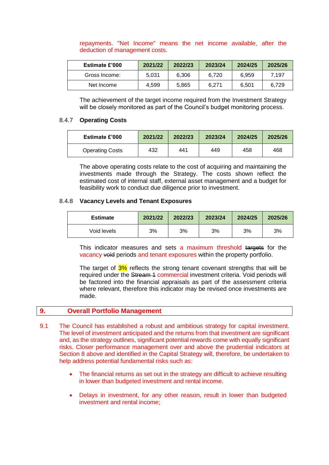| <b>Estimate £'000</b> | 2021/22 | 2022/23 | 2023/24 | 2024/25 | 2025/26 |
|-----------------------|---------|---------|---------|---------|---------|
| Gross Income:         | 5.031   | 6.306   | 6.720   | 6.959   | 7.197   |
| Net Income            | 4.599   | 5.865   | 6.271   | 6.501   | 6.729   |

#### repayments. "Net Income" means the net income available, after the deduction of management costs.

The achievement of the target income required from the Investment Strategy will be closely monitored as part of the Council's budget monitoring process.

#### 8.4.7 **Operating Costs**

| Estimate £'000         | 2021/22 | 2022/23 | 2023/24 | 2024/25 | 2025/26 |
|------------------------|---------|---------|---------|---------|---------|
| <b>Operating Costs</b> | 432     | 441     | 449     | 458     | 468     |

The above operating costs relate to the cost of acquiring and maintaining the investments made through the Strategy. The costs shown reflect the estimated cost of internal staff, external asset management and a budget for feasibility work to conduct due diligence prior to investment.

#### 8.4.8 **Vacancy Levels and Tenant Exposures**

| <b>Estimate</b> | 2021/22 | 2022/23 | 2023/24 | 2024/25 | 2025/26 |
|-----------------|---------|---------|---------|---------|---------|
| Void levels     | 3%      | 3%      | 3%      | 3%      | 3%      |

This indicator measures and sets a maximum threshold targets for the vacancy void periods and tenant exposures within the property portfolio.

The target of  $3\%$  reflects the strong tenant covenant strengths that will be required under the Stream 1 commercial investment criteria. Void periods will be factored into the financial appraisals as part of the assessment criteria where relevant, therefore this indicator may be revised once investments are made.

### **9. Overall Portfolio Management**

- 9.1 The Council has established a robust and ambitious strategy for capital investment. The level of investment anticipated and the returns from that investment are significant and, as the strategy outlines, significant potential rewards come with equally significant risks. Closer performance management over and above the prudential indicators at Section 8 above and identified in the Capital Strategy will, therefore, be undertaken to help address potential fundamental risks such as:
	- The financial returns as set out in the strategy are difficult to achieve resulting in lower than budgeted investment and rental income.
	- Delays in investment, for any other reason, result in lower than budgeted investment and rental income;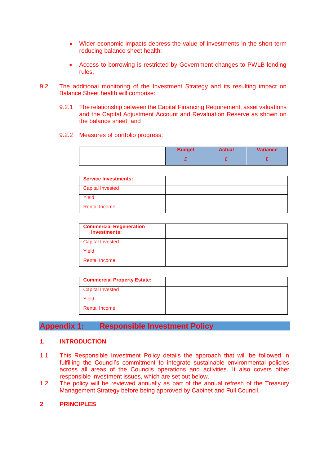- Wider economic impacts depress the value of investments in the short-term reducing balance sheet health;
- Access to borrowing is restricted by Government changes to PWLB lending rules.
- 9.2 The additional monitoring of the Investment Strategy and its resulting impact on Balance Sheet health will comprise:
	- 9.2.1 The relationship between the Capital Financing Requirement, asset valuations and the Capital Adjustment Account and Revaluation Reserve as shown on the balance sheet, and
	- 9.2.2 Measures of portfolio progress:

| <b>Budget</b> | <b>Actual</b> | <b>Variance</b> |
|---------------|---------------|-----------------|
|               |               |                 |

| <b>Service Investments:</b> |  |  |
|-----------------------------|--|--|
| <b>Capital Invested</b>     |  |  |
| Yield                       |  |  |
| <b>Rental Income</b>        |  |  |

| <b>Commercial Regeneration</b><br><b>Investments:</b> |  |  |
|-------------------------------------------------------|--|--|
| <b>Capital Invested</b>                               |  |  |
| Yield                                                 |  |  |
| <b>Rental Income</b>                                  |  |  |

| <b>Commercial Property Estate:</b> |  |  |
|------------------------------------|--|--|
| <b>Capital Invested</b>            |  |  |
| Yield                              |  |  |
| <b>Rental Income</b>               |  |  |

# **Appendix 1: Responsible Investment Policy**

### **1. INTRODUCTION**

- 1.1 This Responsible Investment Policy details the approach that will be followed in fulfilling the Council's commitment to integrate sustainable environmental policies across all areas of the Councils operations and activities. It also covers other responsible investment issues, which are set out below.
- 1.2 The policy will be reviewed annually as part of the annual refresh of the Treasury Management Strategy before being approved by Cabinet and Full Council.

### **2 PRINCIPLES**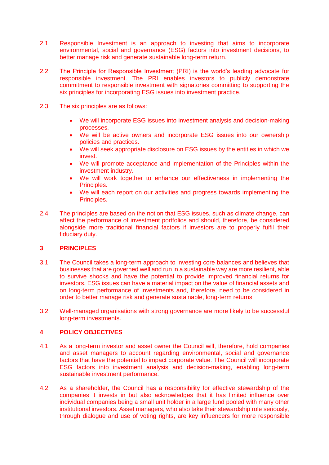- 2.1 Responsible Investment is an approach to investing that aims to incorporate environmental, social and governance (ESG) factors into investment decisions, to better manage risk and generate sustainable long-term return.
- 2.2 The Principle for Responsible Investment (PRI) is the world's leading advocate for responsible investment. The PRI enables investors to publicly demonstrate commitment to responsible investment with signatories committing to supporting the six principles for incorporating ESG issues into investment practice.
- 2.3 The six principles are as follows:
	- We will incorporate ESG issues into investment analysis and decision-making processes.
	- We will be active owners and incorporate ESG issues into our ownership policies and practices.
	- We will seek appropriate disclosure on ESG issues by the entities in which we invest.
	- We will promote acceptance and implementation of the Principles within the investment industry.
	- We will work together to enhance our effectiveness in implementing the Principles.
	- We will each report on our activities and progress towards implementing the Principles.
- 2.4 The principles are based on the notion that ESG issues, such as climate change, can affect the performance of investment portfolios and should, therefore, be considered alongside more traditional financial factors if investors are to properly fulfil their fiduciary duty.

### **3 PRINCIPLES**

- 3.1 The Council takes a long-term approach to investing core balances and believes that businesses that are governed well and run in a sustainable way are more resilient, able to survive shocks and have the potential to provide improved financial returns for investors. ESG issues can have a material impact on the value of financial assets and on long-term performance of investments and, therefore, need to be considered in order to better manage risk and generate sustainable, long-term returns.
- 3.2 Well-managed organisations with strong governance are more likely to be successful long-term investments.

### **4 POLICY OBJECTIVES**

- 4.1 As a long-term investor and asset owner the Council will, therefore, hold companies and asset managers to account regarding environmental, social and governance factors that have the potential to impact corporate value. The Council will incorporate ESG factors into investment analysis and decision-making, enabling long-term sustainable investment performance.
- 4.2 As a shareholder, the Council has a responsibility for effective stewardship of the companies it invests in but also acknowledges that it has limited influence over individual companies being a small unit holder in a large fund pooled with many other institutional investors. Asset managers, who also take their stewardship role seriously, through dialogue and use of voting rights, are key influencers for more responsible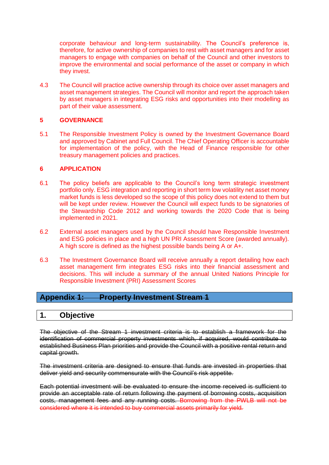corporate behaviour and long-term sustainability. The Council's preference is, therefore, for active ownership of companies to rest with asset managers and for asset managers to engage with companies on behalf of the Council and other investors to improve the environmental and social performance of the asset or company in which they invest.

4.3 The Council will practice active ownership through its choice over asset managers and asset management strategies. The Council will monitor and report the approach taken by asset managers in integrating ESG risks and opportunities into their modelling as part of their value assessment.

### **5 GOVERNANCE**

5.1 The Responsible Investment Policy is owned by the Investment Governance Board and approved by Cabinet and Full Council. The Chief Operating Officer is accountable for implementation of the policy, with the Head of Finance responsible for other treasury management policies and practices.

### **6 APPLICATION**

- 6.1 The policy beliefs are applicable to the Council's long term strategic investment portfolio only. ESG integration and reporting in short term low volatility net asset money market funds is less developed so the scope of this policy does not extend to them but will be kept under review. However the Council will expect funds to be signatories of the Stewardship Code 2012 and working towards the 2020 Code that is being implemented in 2021.
- 6.2 External asset managers used by the Council should have Responsible Investment and ESG policies in place and a high UN PRI Assessment Score (awarded annually). A high score is defined as the highest possible bands being A or A+.
- 6.3 The Investment Governance Board will receive annually a report detailing how each asset management firm integrates ESG risks into their financial assessment and decisions. This will include a summary of the annual United Nations Principle for Responsible Investment (PRI) Assessment Scores

### **Appendix 1: Property Investment Stream 1**

### **1. Objective**

The objective of the Stream 1 investment criteria is to establish a framework for the identification of commercial property investments which, if acquired, would contribute to established Business Plan priorities and provide the Council with a positive rental return and capital growth.

The investment criteria are designed to ensure that funds are invested in properties that deliver yield and security commensurate with the Council's risk appetite.

Each potential investment will be evaluated to ensure the income received is sufficient to provide an acceptable rate of return following the payment of borrowing costs, acquisition costs, management fees and any running costs. Borrowing from the PWLB will not be considered where it is intended to buy commercial assets primarily for yield*.*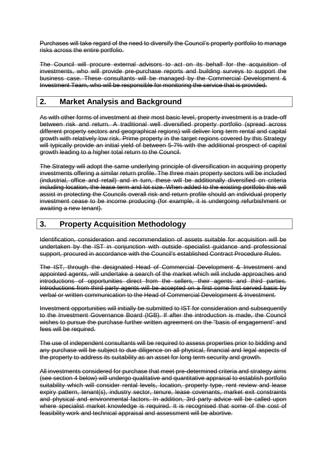Purchases will take regard of the need to diversify the Council's property portfolio to manage risks across the entire portfolio.

The Council will procure external advisors to act on its behalf for the acquisition of investments, who will provide pre-purchase reports and building surveys to support the business case. These consultants will be managed by the Commercial Development & Investment Team, who will be responsible for monitoring the service that is provided.

# **2. Market Analysis and Background**

As with other forms of investment at their most basic level, property investment is a trade-off between risk and return. A traditional well diversified property portfolio (spread across different property sectors and geographical regions) will deliver long term rental and capital growth with relatively low risk. Prime property in the target regions covered by this Strategy will typically provide an initial yield of between 5-7% with the additional prospect of capital growth leading to a higher total return to the Council.

The Strategy will adopt the same underlying principle of diversification in acquiring property investments offering a similar return profile. The three main property sectors will be included (industrial, office and retail) and in turn, these will be additionally diversified on criteria including location, the lease term and lot size. When added to the existing portfolio this will assist in protecting the Councils overall risk and return profile should an individual property investment cease to be income producing (for example, it is undergoing refurbishment or awaiting a new tenant).

# **3. Property Acquisition Methodology**

Identification, consideration and recommendation of assets suitable for acquisition will be undertaken by the IST in conjunction with outside specialist guidance and professional support, procured in accordance with the Council's established Contract Procedure Rules.

The IST, through the designated Head of Commercial Development & Investment and appointed agents, will undertake a search of the market which will include approaches and introductions of opportunities direct from the sellers, their agents and third parties. Introductions from third party agents will be accepted on a first come first served basis by verbal or written communication to the Head of Commercial Development & Investment.

Investment opportunities will initially be submitted to IST for consideration and subsequently to the Investment Governance Board (IGB). If after the introduction is made, the Council wishes to pursue the purchase further written agreement on the "basis of engagement" and fees will be required.

The use of independent consultants will be required to assess properties prior to bidding and any purchase will be subject to due diligence on all physical, financial and legal aspects of the property to address its suitability as an asset for long term security and growth.

All investments considered for purchase that meet pre-determined criteria and strategy aims (see section 4 below) will undergo qualitative and quantitative appraisal to establish portfolio suitability which will consider rental levels, location, property type, rent review and lease expiry pattern, tenant(s), industry sector, tenure, lease covenants, market exit constraints and physical and environmental factors. In addition, 3rd party advice will be called upon where specialist market knowledge is required. It is recognised that some of the cost of feasibility work and technical appraisal and assessment will be abortive.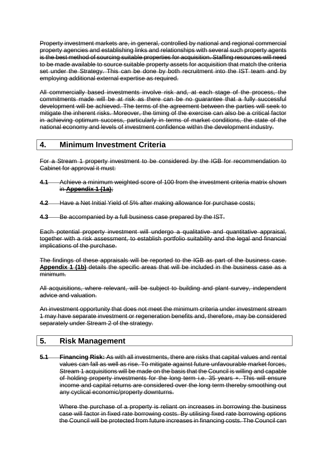Property investment markets are, in general, controlled by national and regional commercial property agencies and establishing links and relationships with several such property agents is the best method of sourcing suitable properties for acquisition. Staffing resources will need to be made available to source suitable property assets for acquisition that match the criteria set under the Strategy. This can be done by both recruitment into the IST team and by employing additional external expertise as required.

All commercially based investments involve risk and, at each stage of the process, the commitments made will be at risk as there can be no guarantee that a fully successful development will be achieved. The terms of the agreement between the parties will seek to mitigate the inherent risks. Moreover, the timing of the exercise can also be a critical factor in achieving optimum success, particularly in terms of market conditions, the state of the national economy and levels of investment confidence within the development industry.

# **4. Minimum Investment Criteria**

For a Stream 1 property investment to be considered by the IGB for recommendation to Cabinet for approval it must:

- **4.1** Achieve a minimum weighted score of 100 from the investment criteria matrix shown in **Appendix 1 (1a)**;
- **4.2** Have a Net Initial Yield of 5% after making allowance for purchase costs;
- **4.3** Be accompanied by a full business case prepared by the IST.

Each potential property investment will undergo a qualitative and quantitative appraisal, together with a risk assessment, to establish portfolio suitability and the legal and financial implications of the purchase.

The findings of these appraisals will be reported to the IGB as part of the business case. **Appendix 1 (1b)** details the specific areas that will be included in the business case as a minimum.

All acquisitions, where relevant, will be subject to building and plant survey, independent advice and valuation.

An investment opportunity that does not meet the minimum criteria under investment stream 1 may have separate investment or regeneration benefits and, therefore, may be considered separately under Stream 2 of the strategy.

### **5. Risk Management**

**5.1 Financing Risk:** As with all investments, there are risks that capital values and rental values can fall as well as rise. To mitigate against future unfavourable market forces, Stream 1 acquisitions will be made on the basis that the Council is willing and capable of holding property investments for the long term i.e. 35 years +. This will ensure income and capital returns are considered over the long term thereby smoothing out any cyclical economic/property downturns.

Where the purchase of a property is reliant on increases in borrowing the business case will factor in fixed rate borrowing costs. By utilising fixed rate borrowing options the Council will be protected from future increases in financing costs. The Council can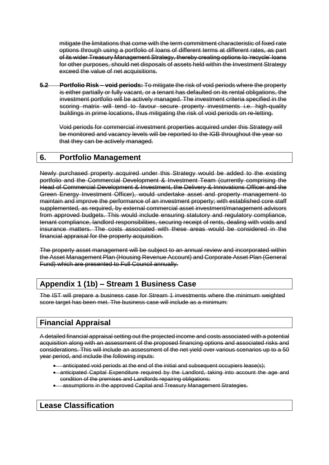mitigate the limitations that come with the term commitment characteristic of fixed rate options through using a portfolio of loans of different terms at different rates, as part of its wider Treasury Management Strategy, thereby creating options to 'recycle' loans for other purposes, should net disposals of assets held within the Investment Strategy exceed the value of net acquisitions.

**5.2 Portfolio Risk – void periods:** To mitigate the risk of void periods where the property is either partially or fully vacant, or a tenant has defaulted on its rental obligations, the investment portfolio will be actively managed. The investment criteria specified in the scoring matrix will tend to favour secure property investments i.e. high-quality buildings in prime locations, thus mitigating the risk of void periods on re-letting.

Void periods for commercial investment properties acquired under this Strategy will be monitored and vacancy levels will be reported to the IGB throughout the year so that they can be actively managed.

# **6. Portfolio Management**

Newly purchased property acquired under this Strategy would be added to the existing portfolio and the Commercial Development & Investment Team (currently comprising the Head of Commercial Development & Investment, the Delivery & Innovations Officer and the Green Energy Investment Officer), would undertake asset and property management to maintain and improve the performance of an investment property; with established core staff supplemented, as required, by external commercial asset investment/management advisors from approved budgets. This would include ensuring statutory and regulatory compliance, tenant compliance, landlord responsibilities, securing receipt of rents, dealing with voids and insurance matters. The costs associated with these areas would be considered in the financial appraisal for the property acquisition.

The property asset management will be subject to an annual review and incorporated within the Asset Management Plan (Housing Revenue Account) and Corporate Asset Plan (General Fund) which are presented to Full Council annually.

# **Appendix 1 (1b) – Stream 1 Business Case**

The IST will prepare a business case for Stream 1 investments where the minimum weighted score target has been met. The business case will include as a minimum:

# **Financial Appraisal**

A detailed financial appraisal setting out the projected income and costs associated with a potential acquisition along with an assessment of the proposed financing options and associated risks and considerations. This will include an assessment of the net yield over various scenarios up to a 50 year period, and include the following inputs:

- anticipated void periods at the end of the initial and subsequent occupiers lease(s);
- anticipated Capital Expenditure required by the Landlord, taking into account the age and condition of the premises and Landlords repairing obligations;
- assumptions in the approved Capital and Treasury Management Strategies.

# **Lease Classification**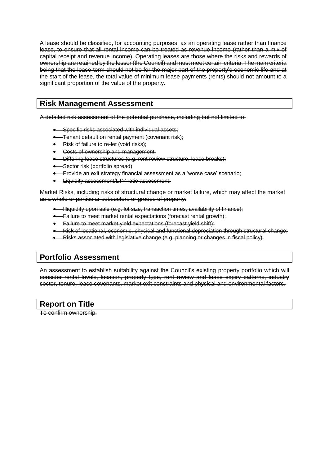A lease should be classified, for accounting purposes, as an operating lease rather than finance lease, to ensure that all rental income can be treated as revenue income (rather than a mix of capital receipt and revenue income). Operating leases are those where the risks and rewards of ownership are retained by the lessor (the Council) and must meet certain criteria. The main criteria being that the lease term should not be for the major part of the property's economic life and at the start of the lease, the total value of minimum lease payments (rents) should not amount to a significant proportion of the value of the property.

# **Risk Management Assessment**

A detailed risk assessment of the potential purchase, including but not limited to:

- Specific risks associated with individual assets;
- **Tenant default on rental payment (covenant risk);**
- **Risk of failure to re-let (void risks):**
- Costs of ownership and management;
- Differing lease structures (e.g. rent review structure, lease breaks);
- Sector risk (portfolio spread);
- Provide an exit strategy financial assessment as a 'worse case' scenario;
- **.** Liquidity assessment/LTV ratio assessment.

Market Risks, including risks of structural change or market failure, which may affect the market as a whole or particular subsectors or groups of property:

- Illiquidity upon sale (e.g. lot size, transaction times, availability of finance);
- **•** Failure to meet market rental expectations (forecast rental growth);
- **•** Failure to meet market yield expectations (forecast yield shift);
- Risk of locational, economic, physical and functional depreciation through structural change;
- Risks associated with legislative change (e.g. planning or changes in fiscal policy).

# **Portfolio Assessment**

An assessment to establish suitability against the Council's existing property portfolio which will consider rental levels, location, property type, rent review and lease expiry patterns, industry sector, tenure, lease covenants, market exit constraints and physical and environmental factors.

### **Report on Title**

To confirm ownership.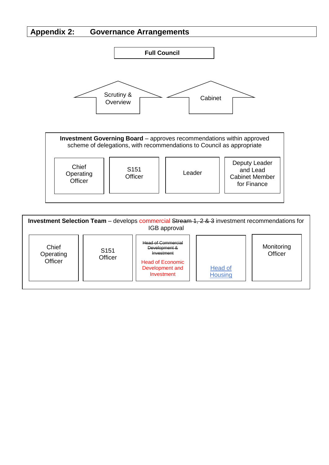# **Appendix 2: Governance Arrangements**



**Investment Governing Board** – approves recommendations within approved scheme of delegations, with recommendations to Council as appropriate Leader Deputy Leader and Lead Cabinet Member for Finance S151 **Officer** Chief **Operating Officer** 

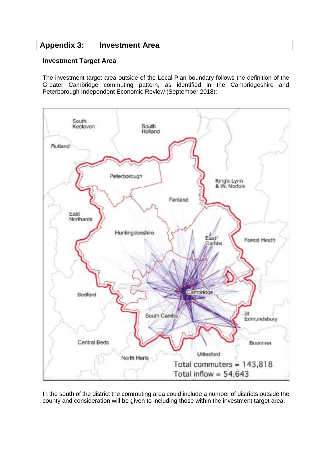# **Appendix 3: Investment Area**

### **Investment Target Area**

The investment target area outside of the Local Plan boundary follows the definition of the Greater Cambridge commuting pattern, as identified in the Cambridgeshire and Peterborough Independent Economic Review (September 2018):



In the south of the district the commuting area could include a number of districts outside the county and consideration will be given to including those within the investment target area.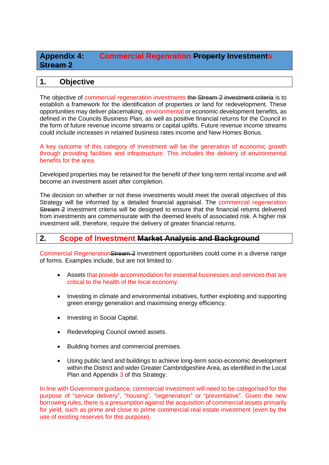# **Appendix 4: Commercial Regenration Property Investments Stream 2**

### **1. Objective**

The objective of commercial regeneration investments the Stream 2 investment criteria is to establish a framework for the identification of properties or land for redevelopment. These opportunities may deliver placemaking, environmental or economic development benefits, as defined in the Councils Business Plan, as well as positive financial returns for the Council in the form of future revenue income streams or capital uplifts. Future revenue income streams could include increases in retained business rates income and New Homes Bonus.

A key outcome of this category of investment will be the generation of economic growth through providing facilities and infrastructure. This includes the delivery of environmental benefits for the area.

Developed properties may be retained for the benefit of their long-term rental income and will become an investment asset after completion.

The decision on whether or not these investments would meet the overall objectives of this Strategy will be informed by a detailed financial appraisal. The commercial regeneration Stream 2 investment criteria will be designed to ensure that the financial returns delivered from investments are commensurate with the deemed levels of associated risk. A higher risk investment will, therefore, require the delivery of greater financial returns.

### **2. Scope of Investment Market Analysis and Background**

Commercial RegenerationStream 2 investment opportunities could come in a diverse range of forms. Examples include, but are not limited to:

- Assets that provide accommodation for essential businesses and services that are critical to the health of the local economy.
- Investing in climate and environmental initiatives, further exploiting and supporting green energy generation and maximising energy efficiency.
- Investing in Social Capital.
- Redeveloping Council owned assets.
- Building homes and commercial premises.
- Using public land and buildings to achieve long-term socio-economic development within the District and wider Greater Cambridgeshire Area, as identified in the Local Plan and Appendix 3 of this Strategy.

In line with Government guidance, commercial investment will need to be categorised for the purpose of "service delivery", "housing", "regeneration" or "preventative". Given the new borrowing rules, there is a presumption against the acquisition of commercial assets primarily for yield, such as prime and close to prime commercial real estate investment (even by the use of existing reserves for this purpose).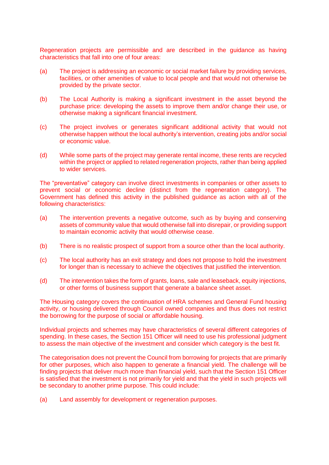Regeneration projects are permissible and are described in the guidance as having characteristics that fall into one of four areas:

- (a) The project is addressing an economic or social market failure by providing services, facilities, or other amenities of value to local people and that would not otherwise be provided by the private sector.
- (b) The Local Authority is making a significant investment in the asset beyond the purchase price: developing the assets to improve them and/or change their use, or otherwise making a significant financial investment.
- (c) The project involves or generates significant additional activity that would not otherwise happen without the local authority's intervention, creating jobs and/or social or economic value.
- (d) While some parts of the project may generate rental income, these rents are recycled within the project or applied to related regeneration projects, rather than being applied to wider services.

The "preventative" category can involve direct investments in companies or other assets to prevent social or economic decline (distinct from the regeneration category). The Government has defined this activity in the published guidance as action with all of the following characteristics:

- (a) The intervention prevents a negative outcome, such as by buying and conserving assets of community value that would otherwise fall into disrepair, or providing support to maintain economic activity that would otherwise cease.
- (b) There is no realistic prospect of support from a source other than the local authority.
- (c) The local authority has an exit strategy and does not propose to hold the investment for longer than is necessary to achieve the objectives that justified the intervention.
- (d) The intervention takes the form of grants, loans, sale and leaseback, equity injections, or other forms of business support that generate a balance sheet asset.

The Housing category covers the continuation of HRA schemes and General Fund housing activity, or housing delivered through Council owned companies and thus does not restrict the borrowing for the purpose of social or affordable housing.

Individual projects and schemes may have characteristics of several different categories of spending. In these cases, the Section 151 Officer will need to use his professional judgment to assess the main objective of the investment and consider which category is the best fit.

The categorisation does not prevent the Council from borrowing for projects that are primarily for other purposes, which also happen to generate a financial yield. The challenge will be finding projects that deliver much more than financial yield, such that the Section 151 Officer is satisfied that the investment is not primarily for yield and that the yield in such projects will be secondary to another prime purpose. This could include:

(a) Land assembly for development or regeneration purposes.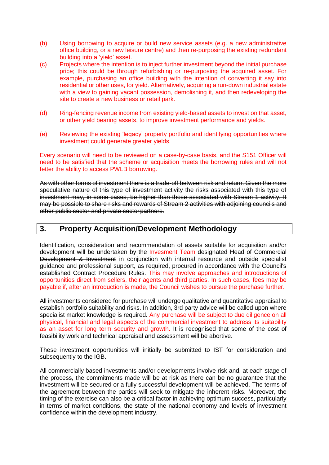- (b) Using borrowing to acquire or build new service assets (e.g. a new administrative office building, or a new leisure centre) and then re-purposing the existing redundant building into a 'yield' asset.
- (c) Projects where the intention is to inject further investment beyond the initial purchase price; this could be through refurbishing or re-purposing the acquired asset. For example, purchasing an office building with the intention of converting it say into residential or other uses, for yield. Alternatively, acquiring a run-down industrial estate with a view to gaining vacant possession, demolishing it, and then redeveloping the site to create a new business or retail park.
- (d) Ring-fencing revenue income from existing yield-based assets to invest on that asset, or other yield bearing assets, to improve investment performance and yields.
- (e) Reviewing the existing 'legacy' property portfolio and identifying opportunities where investment could generate greater yields.

Every scenario will need to be reviewed on a case-by-case basis, and the S151 Officer will need to be satisfied that the scheme or acquisition meets the borrowing rules and will not fetter the ability to access PWLB borrowing.

As with other forms of investment there is a trade-off between risk and return. Given the more speculative nature of this type of investment activity the risks associated with this type of investment may, in some cases, be higher than those associated with Stream 1 activity. It may be possible to share risks and rewards of Stream 2 activities with adjoining councils and other public sector and private sectorpartners.

### **3. Property Acquisition/Development Methodology**

Identification, consideration and recommendation of assets suitable for acquisition and/or development will be undertaken by the Invesment Team designated Head of Commercial Development & Investment in conjunction with internal resource and outside specialist guidance and professional support, as required, procured in accordance with the Council's established Contract Procedure Rules. This may involve approaches and introductions of opportunities direct from sellers, their agents and third parties. In such cases, fees may be payable if, after an introduction is made, the Council wishes to pursue the purchase further.

All investments considered for purchase will undergo qualitative and quantitative appraisal to establish portfolio suitability and risks. In addition, 3rd party advice will be called upon where specialist market knowledge is required. Any purchase will be subject to due diligence on all physical, financial and legal aspects of the commercial investment to address its suitability as an asset for long term security and growth. It is recognised that some of the cost of feasibility work and technical appraisal and assessment will be abortive.

These investment opportunities will initially be submitted to IST for consideration and subsequently to the IGB.

All commercially based investments and/or developments involve risk and, at each stage of the process, the commitments made will be at risk as there can be no guarantee that the investment will be secured or a fully successful development will be achieved. The terms of the agreement between the parties will seek to mitigate the inherent risks. Moreover, the timing of the exercise can also be a critical factor in achieving optimum success, particularly in terms of market conditions, the state of the national economy and levels of investment confidence within the development industry.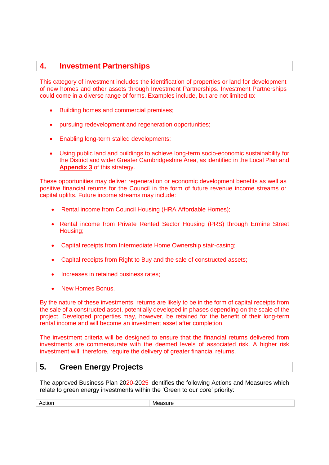# **4. Investment Partnerships**

This category of investment includes the identification of properties or land for development of new homes and other assets through Investment Partnerships. Investment Partnerships could come in a diverse range of forms. Examples include, but are not limited to:

- Building homes and commercial premises;
- pursuing redevelopment and regeneration opportunities;
- Enabling long-term stalled developments;
- Using public land and buildings to achieve long-term socio-economic sustainability for the District and wider Greater Cambridgeshire Area, as identified in the Local Plan and **Appendix 3** of this strategy.

These opportunities may deliver regeneration or economic development benefits as well as positive financial returns for the Council in the form of future revenue income streams or capital uplifts. Future income streams may include:

- Rental income from Council Housing (HRA Affordable Homes);
- Rental income from Private Rented Sector Housing (PRS) through Ermine Street Housing;
- Capital receipts from Intermediate Home Ownership stair-casing;
- Capital receipts from Right to Buy and the sale of constructed assets;
- Increases in retained business rates;
- New Homes Bonus.

By the nature of these investments, returns are likely to be in the form of capital receipts from the sale of a constructed asset, potentially developed in phases depending on the scale of the project. Developed properties may, however, be retained for the benefit of their long-term rental income and will become an investment asset after completion.

The investment criteria will be designed to ensure that the financial returns delivered from investments are commensurate with the deemed levels of associated risk. A higher risk investment will, therefore, require the delivery of greater financial returns.

# **5. Green Energy Projects**

The approved Business Plan 2020-2025 identifies the following Actions and Measures which relate to green energy investments within the 'Green to our core' priority:

Action **Measure**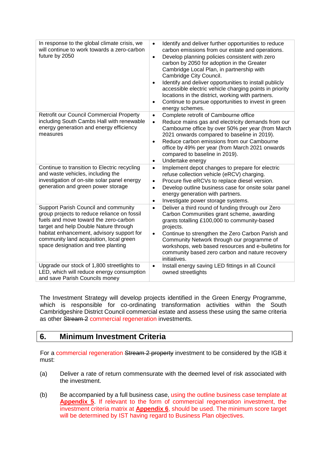| In response to the global climate crisis, we<br>will continue to work towards a zero-carbon<br>future by 2050                                                                                                                                                                                        | Identify and deliver further opportunities to reduce<br>$\bullet$<br>carbon emissions from our estate and operations.<br>Develop planning policies consistent with zero<br>$\bullet$<br>carbon by 2050 for adoption in the Greater<br>Cambridge Local Plan, in partnership with<br>Cambridge City Council.<br>Identify and deliver opportunities to install publicly<br>$\bullet$<br>accessible electric vehicle charging points in priority<br>locations in the district, working with partners.<br>Continue to pursue opportunities to invest in green<br>$\bullet$<br>energy schemes. |
|------------------------------------------------------------------------------------------------------------------------------------------------------------------------------------------------------------------------------------------------------------------------------------------------------|------------------------------------------------------------------------------------------------------------------------------------------------------------------------------------------------------------------------------------------------------------------------------------------------------------------------------------------------------------------------------------------------------------------------------------------------------------------------------------------------------------------------------------------------------------------------------------------|
| <b>Retrofit our Council Commercial Property</b><br>including South Cambs Hall with renewable<br>energy generation and energy efficiency<br>measures                                                                                                                                                  | Complete retrofit of Cambourne office<br>$\bullet$<br>Reduce mains gas and electricity demands from our<br>$\bullet$<br>Cambourne office by over 50% per year (from March<br>2021 onwards compared to baseline in 2019).<br>Reduce carbon emissions from our Cambourne<br>$\bullet$<br>office by 49% per year (from March 2021 onwards<br>compared to baseline in 2019).<br>Undertake energy<br>$\bullet$                                                                                                                                                                                |
| Continue to transition to Electric recycling<br>and waste vehicles, including the<br>investigation of on-site solar panel energy<br>generation and green power storage                                                                                                                               | Implement depot changes to prepare for electric<br>$\bullet$<br>refuse collection vehicle (eRCV) charging.<br>Procure five eRCVs to replace diesel version.<br>$\bullet$<br>Develop outline business case for onsite solar panel<br>$\bullet$<br>energy generation with partners.<br>Investigate power storage systems.<br>$\bullet$                                                                                                                                                                                                                                                     |
| Support Parish Council and community<br>group projects to reduce reliance on fossil<br>fuels and move toward the zero-carbon<br>target and help Double Nature through<br>habitat enhancement, advisory support for<br>community land acquisition, local green<br>space designation and tree planting | Deliver a third round of funding through our Zero<br>$\bullet$<br>Carbon Communities grant scheme, awarding<br>grants totalling £100,000 to community-based<br>projects.<br>Continue to strengthen the Zero Carbon Parish and<br>$\bullet$<br>Community Network through our programme of<br>workshops, web based resources and e-bulletins for<br>community based zero carbon and nature recovery<br>initiatives.                                                                                                                                                                        |
| Upgrade our stock of 1,800 streetlights to<br>LED, which will reduce energy consumption<br>and save Parish Councils money                                                                                                                                                                            | Install energy saving LED fittings in all Council<br>$\bullet$<br>owned streetlights                                                                                                                                                                                                                                                                                                                                                                                                                                                                                                     |

The Investment Strategy will develop projects identified in the Green Energy Programme, which is responsible for co-ordinating transformation activities within the South Cambridgeshire District Council commercial estate and assess these using the same criteria as other Stream 2 commercial regeneration investments.

# **6. Minimum Investment Criteria**

For a commercial regeneration Stream 2 property investment to be considered by the IGB it must:

- (a) Deliver a rate of return commensurate with the deemed level of risk associated with the investment.
- (b) Be accompanied by a full business case, using the outline business case template at **Appendix 5**. If relevant to the form of commercial regeneration investment, the investment criteria matrix at **Appendix 6**, should be used. The minimum score target will be determined by IST having regard to Business Plan objectives.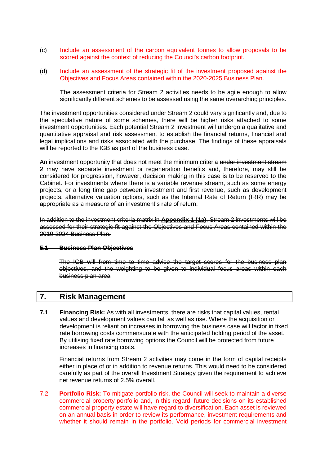- (c) Include an assessment of the carbon equivalent tonnes to allow proposals to be scored against the context of reducing the Council's carbon footprint.
- (d) Include an assessment of the strategic fit of the investment proposed against the Objectives and Focus Areas contained within the 2020-2025 Business Plan.

The assessment criteria for Stream 2 activities needs to be agile enough to allow significantly different schemes to be assessed using the same overarching principles.

The investment opportunities considered under Stream 2 could vary significantly and, due to the speculative nature of some schemes, there will be higher risks attached to some investment opportunities. Each potential Stream 2 investment will undergo a qualitative and quantitative appraisal and risk assessment to establish the financial returns, financial and legal implications and risks associated with the purchase. The findings of these appraisals will be reported to the IGB as part of the business case.

An investment opportunity that does not meet the minimum criteria under investment stream 2 may have separate investment or regeneration benefits and, therefore, may still be considered for progression, however, decision making in this case is to be reserved to the Cabinet. For investments where there is a variable revenue stream, such as some energy projects, or a long time gap between investment and first revenue, such as development projects, alternative valuation options, such as the Internal Rate of Return (IRR) may be appropriate as a measure of an investment's rate of return.

In addition to the investment criteria matrix in **[Appendix 1 \(1a\)](#page-37-0)**, Stream 2 investments will be assessed for their strategic fit against the Objectives and Focus Areas contained within the 2019-2024 Business Plan.

#### **5.1 Business Plan Objectives**

The IGB will from time to time advise the target scores for the business plan objectives, and the weighting to be given to individual focus areas within each business plan area

### **7. Risk Management**

**7.1 Financing Risk:** As with all investments, there are risks that capital values, rental values and development values can fall as well as rise. Where the acquisition or development is reliant on increases in borrowing the business case will factor in fixed rate borrowing costs commensurate with the anticipated holding period of the asset. By utilising fixed rate borrowing options the Council will be protected from future increases in financing costs.

Financial returns from Stream 2 activities may come in the form of capital receipts either in place of or in addition to revenue returns. This would need to be considered carefully as part of the overall Investment Strategy given the requirement to achieve net revenue returns of 2.5% overall.

7.2 **Portfolio Risk:** To mitigate portfolio risk, the Council will seek to maintain a diverse commercial property portfolio and, in this regard, future decisions on its established commercial property estate will have regard to diversification. Each asset is reviewed on an annual basis in order to review its performance, investment requirements and whether it should remain in the portfolio. Void periods for commercial investment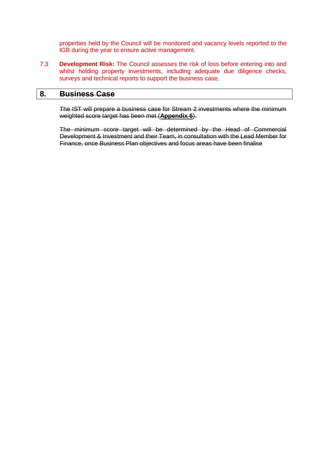properties held by the Council will be monitored and vacancy levels reported to the IGB during the year to ensure active management.

7.3 **Development Risk:** The Council assesses the risk of loss before entering into and whilst holding property investments, including adequate due diligence checks, surveys and technical reports to support the business case.

### **8. Business Case**

The IST will prepare a business case for Stream 2 investments where the minimum weighted score target has been met (**Appendix 6**).

The minimum score target will be determined by the Head of Commercial Development & Investment and their Team, in consultation with the Lead Member for Finance, once Business Plan objectives and focus areas have been finalise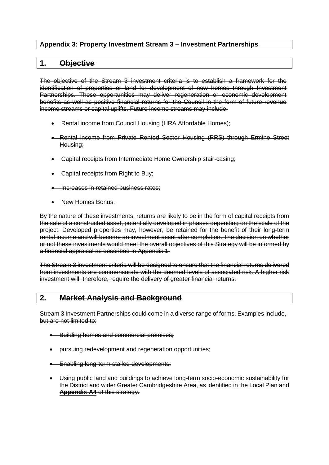### **Appendix 3: Property Investment Stream 3 – Investment Partnerships**

### **1. Objective**

The objective of the Stream 3 investment criteria is to establish a framework for the identification of properties or land for development of new homes through Investment Partnerships. These opportunities may deliver regeneration or economic development benefits as well as positive financial returns for the Council in the form of future revenue income streams or capital uplifts. Future income streams may include:

- Rental income from Council Housing (HRA Affordable Homes);
- Rental income from Private Rented Sector Housing (PRS) through Ermine Street Housing;
- **.** Capital receipts from Intermediate Home Ownership stair-casing;
- Capital receipts from Right to Buy;
- Increases in retained business rates;
- New Homes Bonus.

By the nature of these investments, returns are likely to be in the form of capital receipts from the sale of a constructed asset, potentially developed in phases depending on the scale of the project. Developed properties may, however, be retained for the benefit of their long-term rental income and will become an investment asset after completion. The decision on whether or not these investments would meet the overall objectives of this Strategy will be informed by a financial appraisal as described in Appendix 1.

The Stream 3 investment criteria will be designed to ensure that the financial returns delivered from investments are commensurate with the deemed levels of associated risk. A higher risk investment will, therefore, require the delivery of greater financial returns.

### **2. Market Analysis and Background**

Stream 3 Investment Partnerships could come in a diverse range of forms. Examples include, but are not limited to:

- **Building homes and commercial premises;**
- pursuing redevelopment and regeneration opportunities;
- **Enabling long-term stalled developments;**
- Using public land and buildings to achieve long-term socio-economic sustainability for the District and wider Greater Cambridgeshire Area, as identified in the Local Plan and **Appendix A4** of this strategy.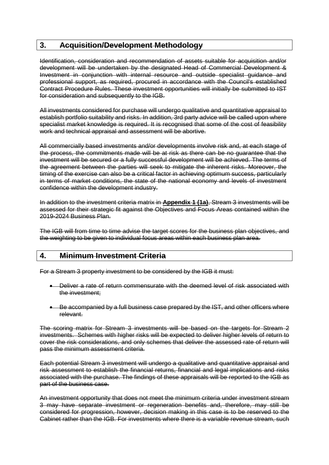# **3. Acquisition/Development Methodology**

Identification, consideration and recommendation of assets suitable for acquisition and/or development will be undertaken by the designated Head of Commercial Development & Investment in conjunction with internal resource and outside specialist guidance and professional support, as required, procured in accordance with the Council's established Contract Procedure Rules. These investment opportunities will initially be submitted to IST for consideration and subsequently to the IGB.

All investments considered for purchase will undergo qualitative and quantitative appraisal to establish portfolio suitability and risks. In addition, 3rd party advice will be called upon where specialist market knowledge is required. It is recognised that some of the cost of feasibility work and technical appraisal and assessment will be abortive.

All commercially based investments and/or developments involve risk and, at each stage of the process, the commitments made will be at risk as there can be no guarantee that the investment will be secured or a fully successful development will be achieved. The terms of the agreement between the parties will seek to mitigate the inherent risks. Moreover, the timing of the exercise can also be a critical factor in achieving optimum success, particularly in terms of market conditions, the state of the national economy and levels of investment confidence within the development industry.

In addition to the investment criteria matrix in **Appendix 1 (1a)**, Stream 3 investments will be assessed for their strategic fit against the Objectives and Focus Areas contained within the 2019-2024 Business Plan.

The IGB will from time to time advise the target scores for the business plan objectives, and the weighting to be given to individual focus areas within each business plan area.

### **4. Minimum Investment Criteria**

For a Stream 3 property investment to be considered by the IGB it must:

- Deliver a rate of return commensurate with the deemed level of risk associated with the investment;
- Be accompanied by a full business case prepared by the IST, and other officers where relevant.

The scoring matrix for Stream 3 investments will be based on the targets for Stream 2 investments. Schemes with higher risks will be expected to deliver higher levels of return to cover the risk considerations, and only schemes that deliver the assessed rate of return will pass the minimum assessment criteria.

Each potential Stream 3 investment will undergo a qualitative and quantitative appraisal and risk assessment to establish the financial returns, financial and legal implications and risks associated with the purchase. The findings of these appraisals will be reported to the IGB as part of the business case.

An investment opportunity that does not meet the minimum criteria under investment stream 3 may have separate investment or regeneration benefits and, therefore, may still be considered for progression, however, decision making in this case is to be reserved to the Cabinet rather than the IGB. For investments where there is a variable revenue stream, such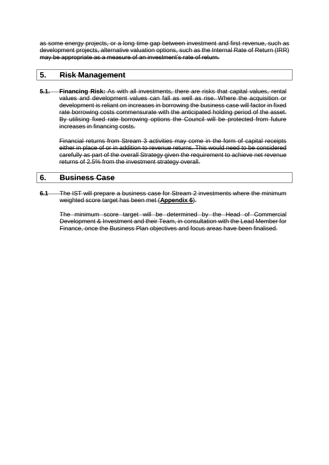as some energy projects, or a long time gap between investment and first revenue, such as development projects, alternative valuation options, such as the Internal Rate of Return (IRR) may be appropriate as a measure of an investment's rate of return.

### **5. Risk Management**

**5.1. Financing Risk:** As with all investments, there are risks that capital values, rental values and development values can fall as well as rise. Where the acquisition or development is reliant on increases in borrowing the business case will factor in fixed rate borrowing costs commensurate with the anticipated holding period of the asset. By utilising fixed rate borrowing options the Council will be protected from future increases in financing costs.

Financial returns from Stream 3 activities may come in the form of capital receipts either in place of or in addition to revenue returns. This would need to be considered carefully as part of the overall Strategy given the requirement to achieve net revenue returns of 2.5% from the investment strategy overall.

### **6. Business Case**

**6.1** The IST will prepare a business case for Stream 2 investments where the minimum weighted score target has been met (**Appendix 6**).

The minimum score target will be determined by the Head of Commercial Development & Investment and their Team, in consultation with the Lead Member for Finance, once the Business Plan objectives and focus areas have been finalised.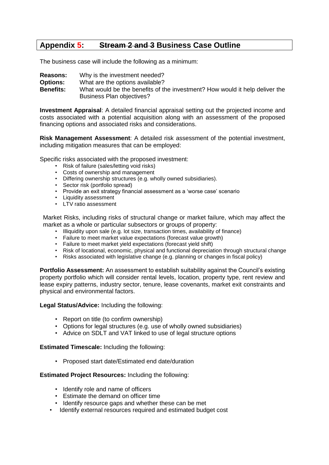# **Appendix 5: Stream 2 and 3 Business Case Outline**

The business case will include the following as a minimum:

**Reasons:** Why is the investment needed?

**Options:** What are the options available?<br>**Benefits:** What would be the benefits of the **Benefits:** What would be the benefits of the investment? How would it help deliver the Business Plan objectives?

**Investment Appraisal**: A detailed financial appraisal setting out the projected income and costs associated with a potential acquisition along with an assessment of the proposed financing options and associated risks and considerations.

**Risk Management Assessment**: A detailed risk assessment of the potential investment, including mitigation measures that can be employed:

Specific risks associated with the proposed investment:

- Risk of failure (sales/letting void risks)
- Costs of ownership and management
- Differing ownership structures (e.g. wholly owned subsidiaries).
- Sector risk (portfolio spread)
- Provide an exit strategy financial assessment as a 'worse case' scenario
- Liquidity assessment
- LTV ratio assessment

Market Risks, including risks of structural change or market failure, which may affect the market as a whole or particular subsectors or groups of property:

- Illiquidity upon sale (e.g. lot size, transaction times, availability of finance)
- Failure to meet market value expectations (forecast value growth)
- Failure to meet market yield expectations (forecast yield shift)
- Risk of locational, economic, physical and functional depreciation through structural change
- Risks associated with legislative change (e.g. planning or changes in fiscal policy)

**Portfolio Assessment:** An assessment to establish suitability against the Council's existing property portfolio which will consider rental levels, location, property type, rent review and lease expiry patterns, industry sector, tenure, lease covenants, market exit constraints and physical and environmental factors.

**Legal Status/Advice:** Including the following:

- Report on title (to confirm ownership)
- Options for legal structures (e.g. use of wholly owned subsidiaries)
- Advice on SDLT and VAT linked to use of legal structure options

**Estimated Timescale:** Including the following:

• Proposed start date/Estimated end date/duration

**Estimated Project Resources:** Including the following:

- Identify role and name of officers
- Estimate the demand on officer time
- Identify resource gaps and whether these can be met
- Identify external resources required and estimated budget cost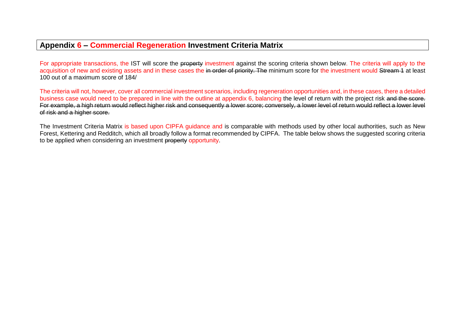### **Appendix 6 – Commercial Regeneration Investment Criteria Matrix**

For appropriate transactions, the IST will score the property investment against the scoring criteria shown below. The criteria will apply to the acquisition of new and existing assets and in these cases the in order of priority. The minimum score for the investment would Stream 1 at least 100 out of a maximum score of 184/

The criteria will not, however, cover all commercial investment scenarios, including regeneration opportunities and, in these cases, there a detailed business case would need to be prepared in line with the outline at appendix 6, balancing the level of return with the project risk and the score. For example, a high return would reflect higher risk and consequently a lower score; conversely, a lower level of return would reflect a lower level of risk and a higher score.

The Investment Criteria Matrix is based upon CIPFA guidance and is comparable with methods used by other local authorities, such as New Forest, Kettering and Redditch, which all broadly follow a format recommended by CIPFA. The table below shows the suggested scoring criteria to be applied when considering an investment property opportunity.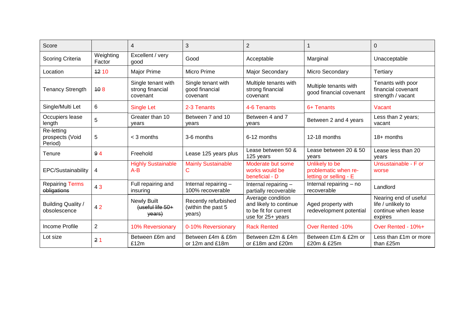| Score                                    |                     | 4                                                  | 3                                                    | $\overline{2}$                                                                            |                                                                  | 0                                                                             |
|------------------------------------------|---------------------|----------------------------------------------------|------------------------------------------------------|-------------------------------------------------------------------------------------------|------------------------------------------------------------------|-------------------------------------------------------------------------------|
| Scoring Criteria                         | Weighting<br>Factor | Excellent / very<br>good                           | Good                                                 | Acceptable                                                                                | Marginal                                                         | Unacceptable                                                                  |
| Location                                 | 12 10               | Major Prime                                        | Micro Prime                                          | Major Secondary                                                                           | Micro Secondary                                                  | <b>Tertiary</b>                                                               |
| <b>Tenancy Strength</b>                  | 108                 | Single tenant with<br>strong financial<br>covenant | Single tenant with<br>good financial<br>covenant     | Multiple tenants with<br>strong financial<br>covenant                                     | Multiple tenants with<br>good financial covenant                 | Tenants with poor<br>financial covenant<br>strength / vacant                  |
| Single/Multi Let                         | 6                   | <b>Single Let</b>                                  | 2-3 Tenants                                          | 4-6 Tenants                                                                               | 6+ Tenants                                                       | Vacant                                                                        |
| Occupiers lease<br>length                | $5\phantom{.0}$     | Greater than 10<br>vears                           | Between 7 and 10<br>years                            | Between 4 and 7<br>vears                                                                  | Between 2 and 4 years                                            | Less than 2 years;<br>vacant                                                  |
| Re-letting<br>prospects (Void<br>Period) | 5                   | $<$ 3 months                                       | 3-6 months                                           | 6-12 months                                                                               | 12-18 months                                                     | $18+$ months                                                                  |
| Tenure                                   | 94                  | Freehold                                           | Lease 125 years plus                                 | Lease between 50 &<br>125 years                                                           | Lease between 20 & 50<br>years                                   | Lease less than 20<br>vears                                                   |
| EPC/Sustainability                       | 4                   | <b>Highly Sustainable</b><br>$A - B$               | <b>Mainly Sustainable</b><br>С                       | Moderate but some<br>works would be<br>beneficial - D                                     | Unlikely to be<br>problematic when re-<br>letting or selling - E | Unsustainable - F or<br>worse                                                 |
| <b>Repairing Terms</b><br>obligations    | 43                  | Full repairing and<br>insuring                     | Internal repairing -<br>100% recoverable             | Internal repairing -<br>partially recoverable                                             | Internal repairing - no<br>recoverable                           | Landlord                                                                      |
| Building Quality /<br>obsolescence       | 42                  | <b>Newly Built</b><br>(useful life 50+<br>years)   | Recently refurbished<br>(within the past 5<br>years) | Average condition<br>and likely to continue<br>to be fit for current<br>use for 25+ years | Aged property with<br>redevelopment potential                    | Nearing end of useful<br>life / unlikely to<br>continue when lease<br>expires |
| Income Profile                           | 2                   | 10% Reversionary                                   | 0-10% Reversionary                                   | <b>Rack Rented</b>                                                                        | <b>Over Rented -10%</b>                                          | Over Rented - 10%+                                                            |
| Lot size                                 | 21                  | Between £6m and<br>£12m                            | Between £4m & £6m<br>or 12m and £18m                 | Between £2m & £4m<br>or £18m and £20m                                                     | Between £1m & £2m or<br>£20m & £25m                              | Less than £1m or more<br>than £25m                                            |